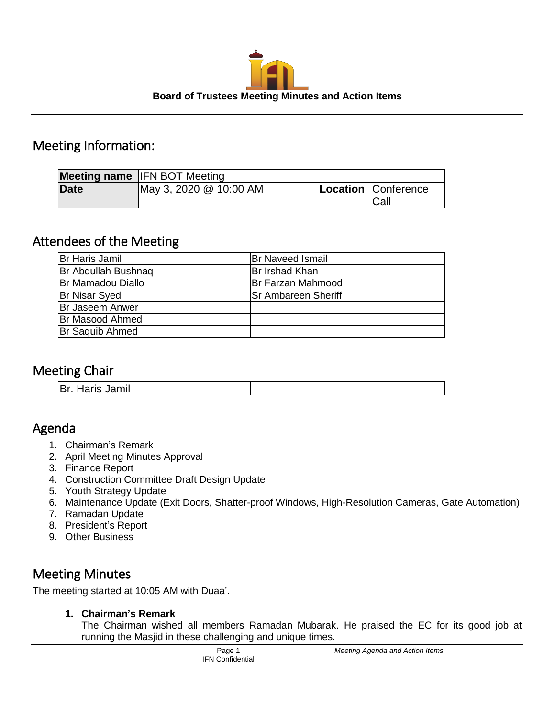

# Meeting Information:

|             | <b>Meeting name IFN BOT Meeting</b> |                             |
|-------------|-------------------------------------|-----------------------------|
| <b>Date</b> | May 3, 2020 @ 10:00 AM              | Location Conference<br>Call |

# Attendees of the Meeting

| Br Haris Jamil             | <b>Br Naveed Ismail</b>    |
|----------------------------|----------------------------|
| <b>Br Abdullah Bushnag</b> | Br Irshad Khan             |
| <b>Br Mamadou Diallo</b>   | <b>IBr Farzan Mahmood</b>  |
| <b>Br Nisar Syed</b>       | <b>Sr Ambareen Sheriff</b> |
| <b>Br Jaseem Anwer</b>     |                            |
| <b>Br Masood Ahmed</b>     |                            |
| <b>Br Saquib Ahmed</b>     |                            |

# Meeting Chair

| .<br><b>PDI. HAIIS JAIIIII</b> |
|--------------------------------|
|--------------------------------|

# Agenda

- 1. Chairman's Remark
- 2. April Meeting Minutes Approval
- 3. Finance Report
- 4. Construction Committee Draft Design Update
- 5. Youth Strategy Update
- 6. Maintenance Update (Exit Doors, Shatter-proof Windows, High-Resolution Cameras, Gate Automation)
- 7. Ramadan Update
- 8. President's Report
- 9. Other Business

# Meeting Minutes

The meeting started at 10:05 AM with Duaa'.

**1. Chairman's Remark**

The Chairman wished all members Ramadan Mubarak. He praised the EC for its good job at running the Masjid in these challenging and unique times.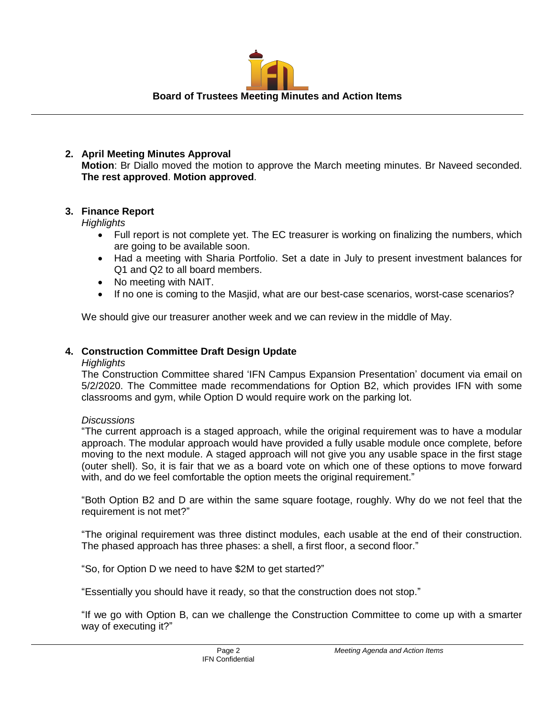

## **2. April Meeting Minutes Approval Motion**: Br Diallo moved the motion to approve the March meeting minutes. Br Naveed seconded. **The rest approved**. **Motion approved**.

## **3. Finance Report**

## *Highlights*

- Full report is not complete yet. The EC treasurer is working on finalizing the numbers, which are going to be available soon.
- Had a meeting with Sharia Portfolio. Set a date in July to present investment balances for Q1 and Q2 to all board members.
- No meeting with NAIT.
- If no one is coming to the Masjid, what are our best-case scenarios, worst-case scenarios?

We should give our treasurer another week and we can review in the middle of May.

## **4. Construction Committee Draft Design Update**

#### *Highlights*

The Construction Committee shared 'IFN Campus Expansion Presentation' document via email on 5/2/2020. The Committee made recommendations for Option B2, which provides IFN with some classrooms and gym, while Option D would require work on the parking lot.

## *Discussions*

"The current approach is a staged approach, while the original requirement was to have a modular approach. The modular approach would have provided a fully usable module once complete, before moving to the next module. A staged approach will not give you any usable space in the first stage (outer shell). So, it is fair that we as a board vote on which one of these options to move forward with, and do we feel comfortable the option meets the original requirement."

"Both Option B2 and D are within the same square footage, roughly. Why do we not feel that the requirement is not met?"

"The original requirement was three distinct modules, each usable at the end of their construction. The phased approach has three phases: a shell, a first floor, a second floor."

"So, for Option D we need to have \$2M to get started?"

"Essentially you should have it ready, so that the construction does not stop."

"If we go with Option B, can we challenge the Construction Committee to come up with a smarter way of executing it?"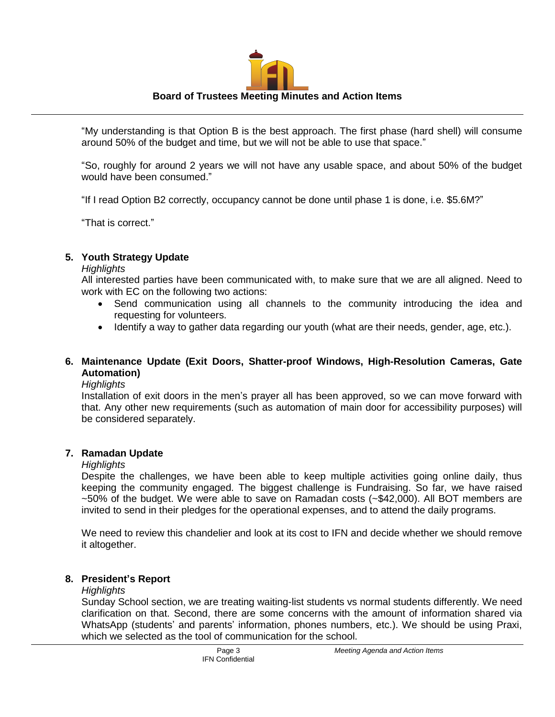# **Board of Trustees Meeting Minutes and Action Items**

"My understanding is that Option B is the best approach. The first phase (hard shell) will consume around 50% of the budget and time, but we will not be able to use that space."

"So, roughly for around 2 years we will not have any usable space, and about 50% of the budget would have been consumed."

"If I read Option B2 correctly, occupancy cannot be done until phase 1 is done, i.e. \$5.6M?"

"That is correct."

# **5. Youth Strategy Update**

## *Highlights*

All interested parties have been communicated with, to make sure that we are all aligned. Need to work with EC on the following two actions:

- Send communication using all channels to the community introducing the idea and requesting for volunteers.
- Identify a way to gather data regarding our youth (what are their needs, gender, age, etc.).

# **6. Maintenance Update (Exit Doors, Shatter-proof Windows, High-Resolution Cameras, Gate Automation)**

*Highlights*

Installation of exit doors in the men's prayer all has been approved, so we can move forward with that. Any other new requirements (such as automation of main door for accessibility purposes) will be considered separately.

# **7. Ramadan Update**

## *Highlights*

Despite the challenges, we have been able to keep multiple activities going online daily, thus keeping the community engaged. The biggest challenge is Fundraising. So far, we have raised ~50% of the budget. We were able to save on Ramadan costs (~\$42,000). All BOT members are invited to send in their pledges for the operational expenses, and to attend the daily programs.

We need to review this chandelier and look at its cost to IFN and decide whether we should remove it altogether.

# **8. President's Report**

## *Highlights*

Sunday School section, we are treating waiting-list students vs normal students differently. We need clarification on that. Second, there are some concerns with the amount of information shared via WhatsApp (students' and parents' information, phones numbers, etc.). We should be using Praxi, which we selected as the tool of communication for the school.